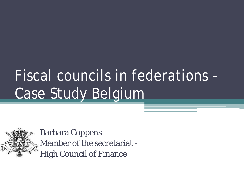# Fiscal councils in federations – Case Study Belgium



Barbara Coppens Member of the secretariat - High Council of Finance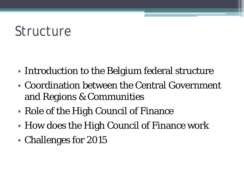## Structure

- Introduction to the Belgium federal structure
- Coordination between the Central Government and Regions & Communities
- Role of the High Council of Finance
- How does the High Council of Finance work
- Challenges for 2015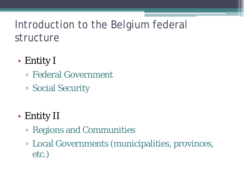- Entity I
	- Federal Government
	- Social Security
- Entity II
	- Regions and Communities
	- Local Governments (municipalities, provinces, etc.)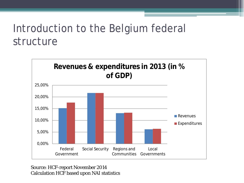

Source: HCF-report November 2014 Calculation HCF based upon NAI statistics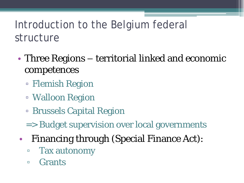- Three Regions territorial linked and economic competences
	- Flemish Region
	- Walloon Region
	- Brussels Capital Region
	- => Budget supervision over local governments
- Financing through (Special Finance Act):
	- Tax autonomy
	- Grants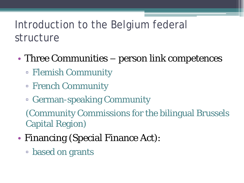- Three Communities person link competences
	- Flemish Community
	- French Community
	- German-speaking Community

(Community Commissions for the bilingual Brussels Capital Region)

- Financing (Special Finance Act):
	- based on grants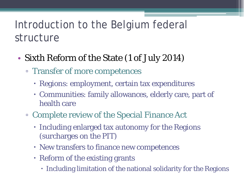- Sixth Reform of the State (1 of July 2014)
	- Transfer of more competences
		- Regions: employment, certain tax expenditures
		- Communities: family allowances, elderly care, part of health care
	- Complete review of the Special Finance Act
		- Including enlarged tax autonomy for the Regions (surcharges on the PIT)
		- New transfers to finance new competences
		- Reform of the existing grants
			- Including limitation of the national solidarity for the Regions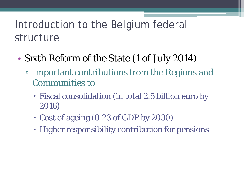- Sixth Reform of the State (1 of July 2014)
	- Important contributions from the Regions and Communities to
		- Fiscal consolidation (in total 2.5 billion euro by 2016)
		- Cost of ageing (0.23 of GDP by 2030)
		- Higher responsibility contribution for pensions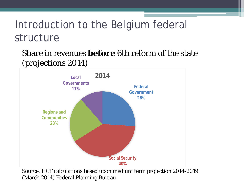Share in revenues **before** 6th reform of the state (projections 2014)

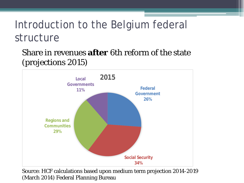Share in revenues **after** 6th reform of the state (projections 2015)

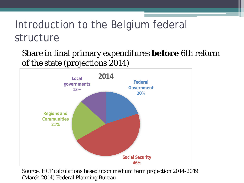Share in final primary expenditures **before** 6th reform of the state (projections 2014)

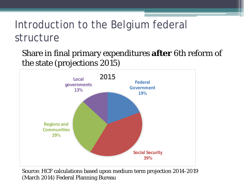Share in final primary expenditures **after** 6th reform of the state (projections 2015)

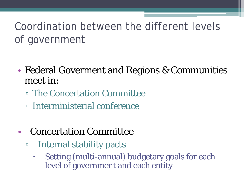### Coordination between the different levels of government

- Federal Goverment and Regions & Communities meet in:
	- The Concertation Committee
	- Interministerial conference
- Concertation Committee
	- Internal stability pacts
		- Setting (multi-annual) budgetary goals for each level of government and each entity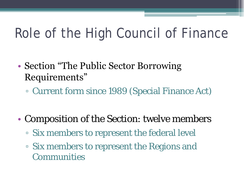## Role of the High Council of Finance

- Section "The Public Sector Borrowing" Requirements"
	- Current form since 1989 (Special Finance Act)
- Composition of the Section: twelve members
	- Six members to represent the federal level
	- Six members to represent the Regions and Communities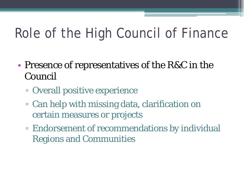## Role of the High Council of Finance

- Presence of representatives of the R&C in the Council
	- Overall positive experience
	- Can help with missing data, clarification on certain measures or projects
	- Endorsement of recommendations by individual Regions and Communities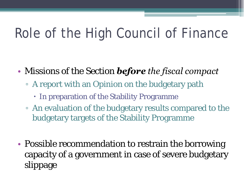## Role of the High Council of Finance

- Missions of the Section *before the fiscal compact*
	- A report with an Opinion on the budgetary path
		- In preparation of the Stability Programme
	- An evaluation of the budgetary results compared to the budgetary targets of the Stability Programme
- Possible recommendation to restrain the borrowing capacity of a government in case of severe budgetary slippage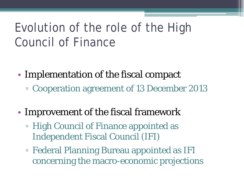### Evolution of the role of the High Council of Finance

- Implementation of the fiscal compact ▫ Cooperation agreement of 13 December 2013
- Improvement of the fiscal framework
	- High Council of Finance appointed as Independent Fiscal Council (IFI)
	- Federal Planning Bureau appointed as IFI concerning the macro-economic projections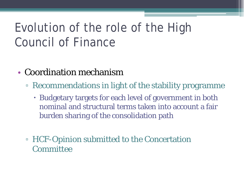### Evolution of the role of the High Council of Finance

- Coordination mechanism
	- Recommendations in light of the stability programme
		- Budgetary targets for each level of government in both nominal and structural terms taken into account a fair burden sharing of the consolidation path
	- HCF-Opinion submitted to the Concertation Committee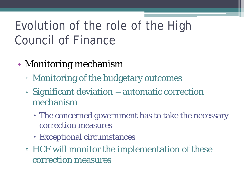### Evolution of the role of the High Council of Finance

- Monitoring mechanism
	- Monitoring of the budgetary outcomes
	- Significant deviation = automatic correction mechanism
		- The concerned government has to take the necessary correction measures
		- Exceptional circumstances
	- HCF will monitor the implementation of these correction measures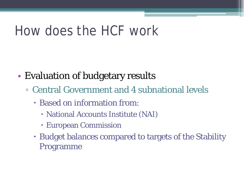## How does the HCF work

- Evaluation of budgetary results
	- Central Government and 4 subnational levels
		- Based on information from:
			- National Accounts Institute (NAI)
			- European Commission
		- Budget balances compared to targets of the Stability Programme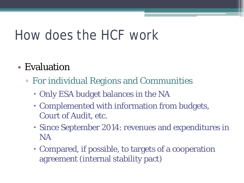## How does the HCF work

#### • Evaluation

- For individual Regions and Communities
	- Only ESA budget balances in the NA
	- Complemented with information from budgets, Court of Audit, etc.
	- Since September 2014: revenues and expenditures in NA
	- Compared, if possible, to targets of a cooperation agreement (internal stability pact)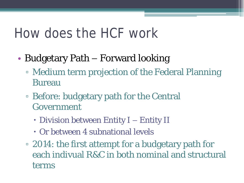### How does the HCF work

- Budgetary Path Forward looking
	- Medium term projection of the Federal Planning Bureau
	- Before: budgetary path for the Central Government
		- Division between Entity I Entity II
		- Or between 4 subnational levels
	- 2014: the first attempt for a budgetary path for each indivual R&C in both nominal and structural terms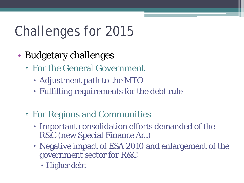## Challenges for 2015

- Budgetary challenges
	- For the General Government
		- Adjustment path to the MTO
		- Fulfilling requirements for the debt rule
	- For Regions and Communities
		- Important consolidation efforts demanded of the R&C (new Special Finance Act)
		- Negative impact of ESA 2010 and enlargement of the government sector for R&C
			- Higher debt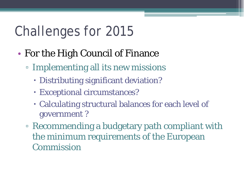## Challenges for 2015

- For the High Council of Finance
	- Implementing all its new missions
		- Distributing significant deviation?
		- Exceptional circumstances?
		- Calculating structural balances for each level of government ?
	- Recommending a budgetary path compliant with the minimum requirements of the European Commission